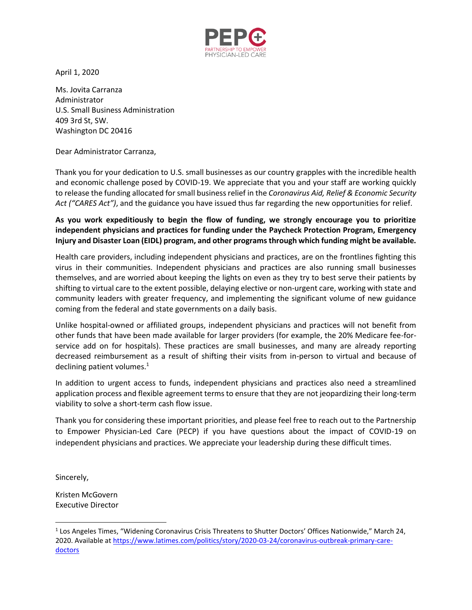

April 1, 2020

Ms. Jovita Carranza Administrator U.S. Small Business Administration 409 3rd St, SW. Washington DC 20416

Dear Administrator Carranza,

Thank you for your dedication to U.S. small businesses as our country grapples with the incredible health and economic challenge posed by COVID-19. We appreciate that you and your staff are working quickly to release the funding allocated for small business relief in the *Coronavirus Aid, Relief & Economic Security Act ("CARES Act")*, and the guidance you have issued thus far regarding the new opportunities for relief.

## **As you work expeditiously to begin the flow of funding, we strongly encourage you to prioritize independent physicians and practices for funding under the Paycheck Protection Program, Emergency Injury and Disaster Loan (EIDL) program, and other programsthrough which funding might be available.**

Health care providers, including independent physicians and practices, are on the frontlines fighting this virus in their communities. Independent physicians and practices are also running small businesses themselves, and are worried about keeping the lights on even as they try to best serve their patients by shifting to virtual care to the extent possible, delaying elective or non-urgent care, working with state and community leaders with greater frequency, and implementing the significant volume of new guidance coming from the federal and state governments on a daily basis.

Unlike hospital-owned or affiliated groups, independent physicians and practices will not benefit from other funds that have been made available for larger providers (for example, the 20% Medicare fee-forservice add on for hospitals). These practices are small businesses, and many are already reporting decreased reimbursement as a result of shifting their visits from in-person to virtual and because of declining patient volumes. $1$ 

In addition to urgent access to funds, independent physicians and practices also need a streamlined application process and flexible agreement terms to ensure that they are not jeopardizing their long-term viability to solve a short-term cash flow issue.

Thank you for considering these important priorities, and please feel free to reach out to the Partnership to Empower Physician-Led Care (PECP) if you have questions about the impact of COVID-19 on independent physicians and practices. We appreciate your leadership during these difficult times.

Sincerely,

Kristen McGovern Executive Director

<sup>&</sup>lt;sup>1</sup> Los Angeles Times, "Widening Coronavirus Crisis Threatens to Shutter Doctors' Offices Nationwide," March 24, 2020. Available a[t https://www.latimes.com/politics/story/2020-03-24/coronavirus-outbreak-primary-care](https://www.latimes.com/politics/story/2020-03-24/coronavirus-outbreak-primary-care-doctors)[doctors](https://www.latimes.com/politics/story/2020-03-24/coronavirus-outbreak-primary-care-doctors)